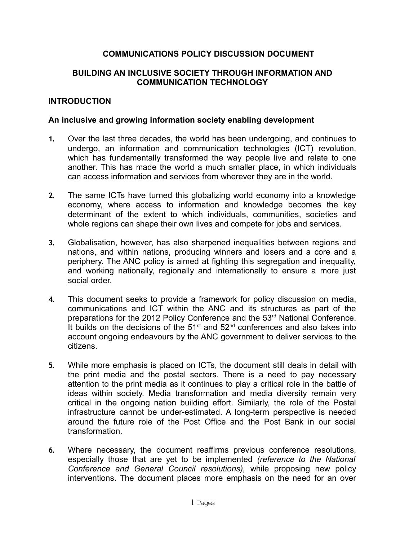## **COMMUNICATIONS POLICY DISCUSSION DOCUMENT**

## **BUILDING AN INCLUSIVE SOCIETY THROUGH INFORMATION AND COMMUNICATION TECHNOLOGY**

### **INTRODUCTION**

### **An inclusive and growing information society enabling development**

- **1.** Over the last three decades, the world has been undergoing, and continues to undergo, an information and communication technologies (ICT) revolution, which has fundamentally transformed the way people live and relate to one another. This has made the world a much smaller place, in which individuals can access information and services from wherever they are in the world.
- **2.** The same ICTs have turned this globalizing world economy into a knowledge economy, where access to information and knowledge becomes the key determinant of the extent to which individuals, communities, societies and whole regions can shape their own lives and compete for jobs and services.
- **3.** Globalisation, however, has also sharpened inequalities between regions and nations, and within nations, producing winners and losers and a core and a periphery. The ANC policy is aimed at fighting this segregation and inequality, and working nationally, regionally and internationally to ensure a more just social order.
- **4.** This document seeks to provide a framework for policy discussion on media, communications and ICT within the ANC and its structures as part of the preparations for the 2012 Policy Conference and the 53<sup>rd</sup> National Conference. It builds on the decisions of the  $51<sup>st</sup>$  and  $52<sup>nd</sup>$  conferences and also takes into account ongoing endeavours by the ANC government to deliver services to the citizens.
- **5.** While more emphasis is placed on ICTs, the document still deals in detail with the print media and the postal sectors. There is a need to pay necessary attention to the print media as it continues to play a critical role in the battle of ideas within society. Media transformation and media diversity remain very critical in the ongoing nation building effort. Similarly, the role of the Postal infrastructure cannot be under-estimated. A long-term perspective is needed around the future role of the Post Office and the Post Bank in our social transformation.
- **6.** Where necessary, the document reaffirms previous conference resolutions, especially those that are yet to be implemented *(reference to the National Conference and General Council resolutions),* while proposing new policy interventions. The document places more emphasis on the need for an over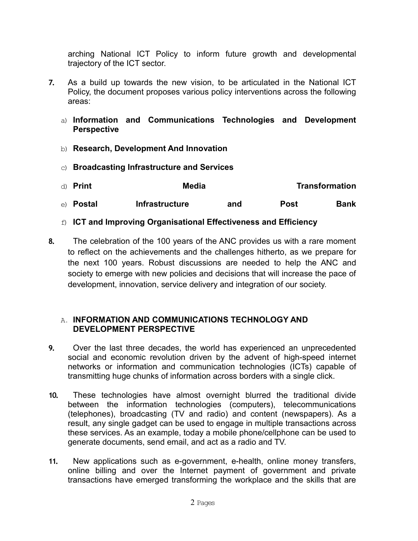arching National ICT Policy to inform future growth and developmental trajectory of the ICT sector.

- **7.** As a build up towards the new vision, to be articulated in the National ICT Policy, the document proposes various policy interventions across the following areas:
	- a) **Information and Communications Technologies and Development Perspective**
	- b) **Research, Development And Innovation**
	- c) **Broadcasting Infrastructure and Services**

| d) Print         | Media                 | <b>Transformation</b> |      |      |
|------------------|-----------------------|-----------------------|------|------|
| e) <b>Postal</b> | <b>Infrastructure</b> | and                   | Post | Bank |

- f) **ICT and Improving Organisational Effectiveness and Efficiency**
- **8.** The celebration of the 100 years of the ANC provides us with a rare moment to reflect on the achievements and the challenges hitherto, as we prepare for the next 100 years. Robust discussions are needed to help the ANC and society to emerge with new policies and decisions that will increase the pace of development, innovation, service delivery and integration of our society.

## A. **INFORMATION AND COMMUNICATIONS TECHNOLOGY AND DEVELOPMENT PERSPECTIVE**

- **9.** Over the last three decades, the world has experienced an unprecedented social and economic revolution driven by the advent of high-speed internet networks or information and communication technologies (ICTs) capable of transmitting huge chunks of information across borders with a single click.
- **10.** These technologies have almost overnight blurred the traditional divide between the information technologies (computers), telecommunications (telephones), broadcasting (TV and radio) and content (newspapers). As a result, any single gadget can be used to engage in multiple transactions across these services. As an example, today a mobile phone/cellphone can be used to generate documents, send email, and act as a radio and TV.
- **11.** New applications such as e-government, e-health, online money transfers, online billing and over the Internet payment of government and private transactions have emerged transforming the workplace and the skills that are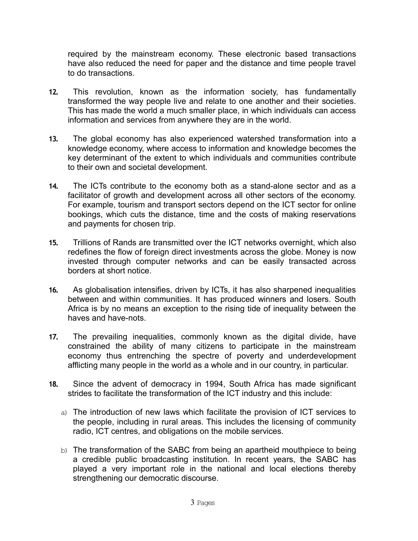required by the mainstream economy. These electronic based transactions have also reduced the need for paper and the distance and time people travel to do transactions.

- **12.** This revolution, known as the information society, has fundamentally transformed the way people live and relate to one another and their societies. This has made the world a much smaller place, in which individuals can access information and services from anywhere they are in the world.
- **13.** The global economy has also experienced watershed transformation into a knowledge economy, where access to information and knowledge becomes the key determinant of the extent to which individuals and communities contribute to their own and societal development.
- **14.** The ICTs contribute to the economy both as a stand-alone sector and as a facilitator of growth and development across all other sectors of the economy. For example, tourism and transport sectors depend on the ICT sector for online bookings, which cuts the distance, time and the costs of making reservations and payments for chosen trip.
- **15.** Trillions of Rands are transmitted over the ICT networks overnight, which also redefines the flow of foreign direct investments across the globe. Money is now invested through computer networks and can be easily transacted across borders at short notice.
- **16.** As globalisation intensifies, driven by ICTs, it has also sharpened inequalities between and within communities. It has produced winners and losers. South Africa is by no means an exception to the rising tide of inequality between the haves and have-nots.
- **17.** The prevailing inequalities, commonly known as the digital divide, have constrained the ability of many citizens to participate in the mainstream economy thus entrenching the spectre of poverty and underdevelopment afflicting many people in the world as a whole and in our country, in particular.
- **18.** Since the advent of democracy in 1994, South Africa has made significant strides to facilitate the transformation of the ICT industry and this include:
	- a) The introduction of new laws which facilitate the provision of ICT services to the people, including in rural areas. This includes the licensing of community radio, ICT centres, and obligations on the mobile services.
	- b) The transformation of the SABC from being an apartheid mouthpiece to being a credible public broadcasting institution. In recent years, the SABC has played a very important role in the national and local elections thereby strengthening our democratic discourse.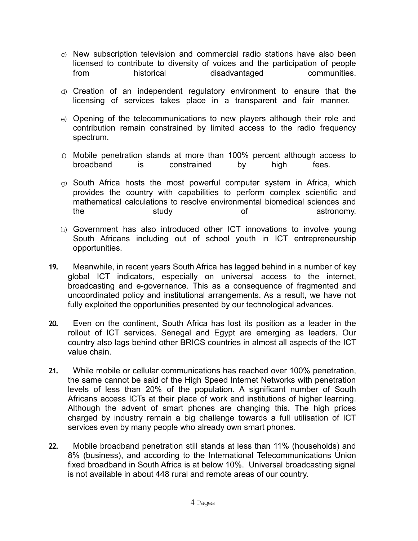- c) New subscription television and commercial radio stations have also been licensed to contribute to diversity of voices and the participation of people from historical disadvantaged communities.
- d) Creation of an independent regulatory environment to ensure that the licensing of services takes place in a transparent and fair manner.
- e) Opening of the telecommunications to new players although their role and contribution remain constrained by limited access to the radio frequency spectrum.
- f) Mobile penetration stands at more than 100% percent although access to broadband is constrained by high fees.
- $q$ ) South Africa hosts the most powerful computer system in Africa, which provides the country with capabilities to perform complex scientific and mathematical calculations to resolve environmental biomedical sciences and the study study of astronomy.
- h) Government has also introduced other ICT innovations to involve young South Africans including out of school youth in ICT entrepreneurship opportunities.
- **19.** Meanwhile, in recent years South Africa has lagged behind in a number of key global ICT indicators, especially on universal access to the internet, broadcasting and e-governance. This as a consequence of fragmented and uncoordinated policy and institutional arrangements. As a result, we have not fully exploited the opportunities presented by our technological advances.
- **20.** Even on the continent, South Africa has lost its position as a leader in the rollout of ICT services. Senegal and Egypt are emerging as leaders. Our country also lags behind other BRICS countries in almost all aspects of the ICT value chain.
- **21.** While mobile or cellular communications has reached over 100% penetration, the same cannot be said of the High Speed Internet Networks with penetration levels of less than 20% of the population. A significant number of South Africans access ICTs at their place of work and institutions of higher learning. Although the advent of smart phones are changing this. The high prices charged by industry remain a big challenge towards a full utilisation of ICT services even by many people who already own smart phones.
- **22.** Mobile broadband penetration still stands at less than 11% (households) and 8% (business), and according to the International Telecommunications Union fixed broadband in South Africa is at below 10%. Universal broadcasting signal is not available in about 448 rural and remote areas of our country.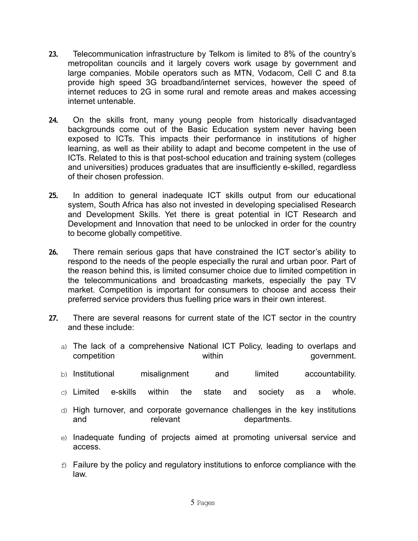- **23.** Telecommunication infrastructure by Telkom is limited to 8% of the country's metropolitan councils and it largely covers work usage by government and large companies. Mobile operators such as MTN, Vodacom, Cell C and 8.ta provide high speed 3G broadband/internet services, however the speed of internet reduces to 2G in some rural and remote areas and makes accessing internet untenable.
- **24.** On the skills front, many young people from historically disadvantaged backgrounds come out of the Basic Education system never having been exposed to ICTs. This impacts their performance in institutions of higher learning, as well as their ability to adapt and become competent in the use of ICTs. Related to this is that post-school education and training system (colleges and universities) produces graduates that are insufficiently e-skilled, regardless of their chosen profession.
- **25.** In addition to general inadequate ICT skills output from our educational system, South Africa has also not invested in developing specialised Research and Development Skills. Yet there is great potential in ICT Research and Development and Innovation that need to be unlocked in order for the country to become globally competitive.
- **26.** There remain serious gaps that have constrained the ICT sector's ability to respond to the needs of the people especially the rural and urban poor. Part of the reason behind this, is limited consumer choice due to limited competition in the telecommunications and broadcasting markets, especially the pay TV market. Competition is important for consumers to choose and access their preferred service providers thus fuelling price wars in their own interest.
- **27.** There are several reasons for current state of the ICT sector in the country and these include:
	- a) The lack of a comprehensive National ICT Policy, leading to overlaps and competition within government.
	- b) Institutional misalignment and limited accountability.
	- $\circ$ ) Limited e-skills within the state and society as a whole.
	- d) High turnover, and corporate governance challenges in the key institutions and relevant relevant departments.
	- e) Inadequate funding of projects aimed at promoting universal service and access.
	- $f$  Failure by the policy and regulatory institutions to enforce compliance with the law.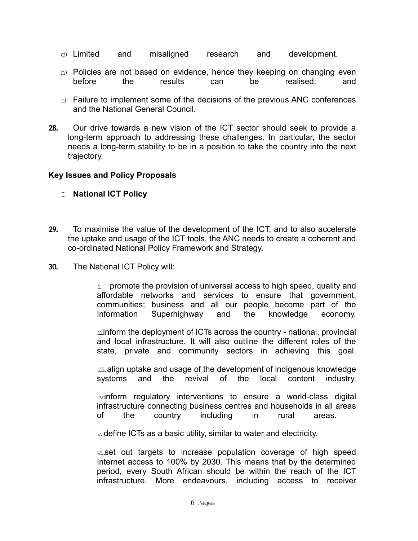- $\sigma$ ) Limited and misaligned research and development.
- h) Policies are not based on evidence, hence they keeping on changing even before the results can be realised; and
- i) Failure to implement some of the decisions of the previous ANC conferences and the National General Council.
- **28.** Our drive towards a new vision of the ICT sector should seek to provide a long-term approach to addressing these challenges. In particular, the sector needs a long-term stability to be in a position to take the country into the next trajectory.

## **Key Issues and Policy Proposals**

## I. **National ICT Policy**

- **29.** To maximise the value of the development of the ICT, and to also accelerate the uptake and usage of the ICT tools, the ANC needs to create a coherent and co-ordinated National Policy Framework and Strategy.
- **30.** The National ICT Policy will:

 $\pm$  promote the provision of universal access to high speed, quality and affordable networks and services to ensure that government, communities; business and all our people become part of the Information Superhighway and the knowledge economy.

iinform the deployment of ICTs across the country - national, provincial and local infrastructure. It will also outline the different roles of the state, private and community sectors in achieving this goal.

 $\ddot{\text{iii}}$  align uptake and usage of the development of indigenous knowledge systems and the revival of the local content industry.

ivinform regulatory interventions to ensure a world-class digital infrastructure connecting business centres and households in all areas of the country including in rural areas.

 $\mathrm{v}$  define ICTs as a basic utility, similar to water and electricity.

 $\overline{v}$  set out targets to increase population coverage of high speed Internet access to 100% by 2030. This means that by the determined period, every South African should be within the reach of the ICT infrastructure. More endeavours, including access to receiver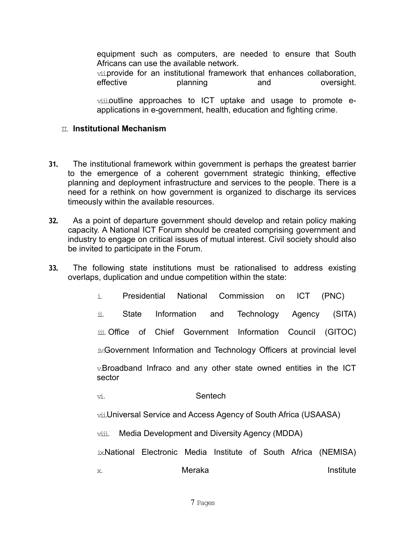equipment such as computers, are needed to ensure that South Africans can use the available network.

vii.provide for an institutional framework that enhances collaboration, effective planning and oversight.

viii.outline approaches to ICT uptake and usage to promote eapplications in e-government, health, education and fighting crime.

## II. **Institutional Mechanism**

- **31.** The institutional framework within government is perhaps the greatest barrier to the emergence of a coherent government strategic thinking, effective planning and deployment infrastructure and services to the people. There is a need for a rethink on how government is organized to discharge its services timeously within the available resources.
- **32.** As a point of departure government should develop and retain policy making capacity. A National ICT Forum should be created comprising government and industry to engage on critical issues of mutual interest. Civil society should also be invited to participate in the Forum.
- **33.** The following state institutions must be rationalised to address existing overlaps, duplication and undue competition within the state:

| i.                                                                              |  |  |        |         |  |  | Presidential National Commission on ICT | (PNC)                                                           |  |  |
|---------------------------------------------------------------------------------|--|--|--------|---------|--|--|-----------------------------------------|-----------------------------------------------------------------|--|--|
| ii.                                                                             |  |  |        |         |  |  |                                         | State Information and Technology Agency (SITA)                  |  |  |
|                                                                                 |  |  |        |         |  |  |                                         | iii. Office of Chief Government Information Council (GITOC)     |  |  |
| iv. Government Information and Technology Officers at provincial level          |  |  |        |         |  |  |                                         |                                                                 |  |  |
| $v$ . Broadband Infraco and any other state owned entities in the ICT<br>sector |  |  |        |         |  |  |                                         |                                                                 |  |  |
| vi.                                                                             |  |  |        | Sentech |  |  |                                         |                                                                 |  |  |
| vii.Universal Service and Access Agency of South Africa (USAASA)                |  |  |        |         |  |  |                                         |                                                                 |  |  |
| Media Development and Diversity Agency (MDDA)<br>viii.                          |  |  |        |         |  |  |                                         |                                                                 |  |  |
|                                                                                 |  |  |        |         |  |  |                                         | ix.National Electronic Media Institute of South Africa (NEMISA) |  |  |
| X.                                                                              |  |  | Meraka |         |  |  |                                         | Institute                                                       |  |  |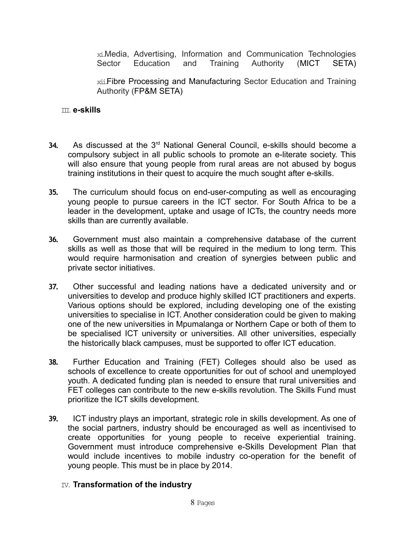xi.Media, Advertising, Information and Communication Technologies Sector Education and Training Authority (MICT SETA)

xii.Fibre Processing and Manufacturing Sector Education and Training Authority (FP&M SETA)

### III.**e-skills**

- **34.** As discussed at the 3rd National General Council, e-skills should become a compulsory subject in all public schools to promote an e-literate society. This will also ensure that young people from rural areas are not abused by bogus training institutions in their quest to acquire the much sought after e-skills.
- **35.** The curriculum should focus on end-user-computing as well as encouraging young people to pursue careers in the ICT sector. For South Africa to be a leader in the development, uptake and usage of ICTs, the country needs more skills than are currently available.
- **36.** Government must also maintain a comprehensive database of the current skills as well as those that will be required in the medium to long term. This would require harmonisation and creation of synergies between public and private sector initiatives.
- **37.** Other successful and leading nations have a dedicated university and or universities to develop and produce highly skilled ICT practitioners and experts. Various options should be explored, including developing one of the existing universities to specialise in ICT. Another consideration could be given to making one of the new universities in Mpumalanga or Northern Cape or both of them to be specialised ICT university or universities. All other universities, especially the historically black campuses, must be supported to offer ICT education.
- **38.** Further Education and Training (FET) Colleges should also be used as schools of excellence to create opportunities for out of school and unemployed youth. A dedicated funding plan is needed to ensure that rural universities and FET colleges can contribute to the new e-skills revolution. The Skills Fund must prioritize the ICT skills development.
- **39.** ICT industry plays an important, strategic role in skills development. As one of the social partners, industry should be encouraged as well as incentivised to create opportunities for young people to receive experiential training. Government must introduce comprehensive e-Skills Development Plan that would include incentives to mobile industry co-operation for the benefit of young people. This must be in place by 2014.

## IV. **Transformation of the industry**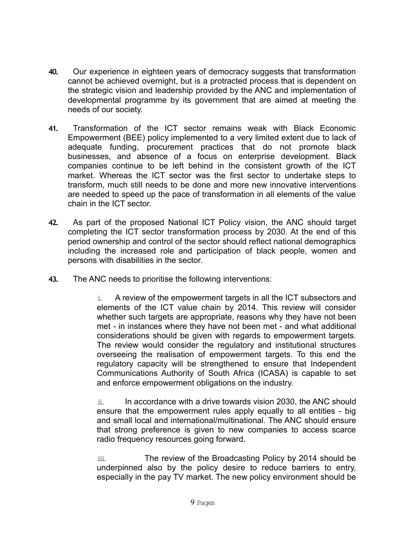- **40.** Our experience in eighteen years of democracy suggests that transformation cannot be achieved overnight, but is a protracted process that is dependent on the strategic vision and leadership provided by the ANC and implementation of developmental programme by its government that are aimed at meeting the needs of our society.
- **41.** Transformation of the ICT sector remains weak with Black Economic Empowerment (BEE) policy implemented to a very limited extent due to lack of adequate funding, procurement practices that do not promote black businesses, and absence of a focus on enterprise development. Black companies continue to be left behind in the consistent growth of the ICT market. Whereas the ICT sector was the first sector to undertake steps to transform, much still needs to be done and more new innovative interventions are needed to speed up the pace of transformation in all elements of the value chain in the ICT sector.
- **42.** As part of the proposed National ICT Policy vision, the ANC should target completing the ICT sector transformation process by 2030. At the end of this period ownership and control of the sector should reflect national demographics including the increased role and participation of black people, women and persons with disabilities in the sector.
- **43.** The ANC needs to prioritise the following interventions:

 $i$  A review of the empowerment targets in all the ICT subsectors and elements of the ICT value chain by 2014. This review will consider whether such targets are appropriate, reasons why they have not been met - in instances where they have not been met - and what additional considerations should be given with regards to empowerment targets. The review would consider the regulatory and institutional structures overseeing the realisation of empowerment targets. To this end the regulatory capacity will be strengthened to ensure that Independent Communications Authority of South Africa (ICASA) is capable to set and enforce empowerment obligations on the industry.

ii. In accordance with a drive towards vision 2030, the ANC should ensure that the empowerment rules apply equally to all entities - big and small local and international/multinational. The ANC should ensure that strong preference is given to new companies to access scarce radio frequency resources going forward.

iii. The review of the Broadcasting Policy by 2014 should be underpinned also by the policy desire to reduce barriers to entry, especially in the pay TV market. The new policy environment should be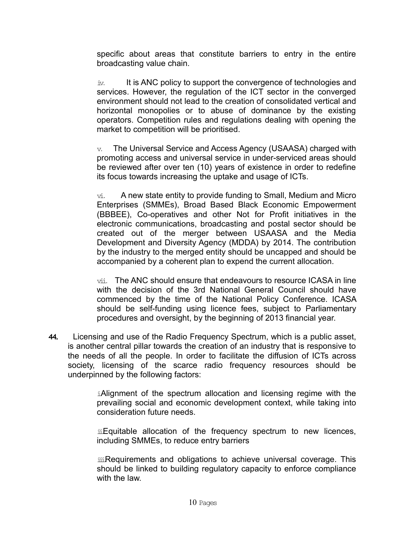specific about areas that constitute barriers to entry in the entire broadcasting value chain.

iv. It is ANC policy to support the convergence of technologies and services. However, the regulation of the ICT sector in the converged environment should not lead to the creation of consolidated vertical and horizontal monopolies or to abuse of dominance by the existing operators. Competition rules and regulations dealing with opening the market to competition will be prioritised.

 $v<sub>x</sub>$  The Universal Service and Access Agency (USAASA) charged with promoting access and universal service in under-serviced areas should be reviewed after over ten (10) years of existence in order to redefine its focus towards increasing the uptake and usage of ICTs.

vi. A new state entity to provide funding to Small, Medium and Micro Enterprises (SMMEs), Broad Based Black Economic Empowerment (BBBEE), Co-operatives and other Not for Profit initiatives in the electronic communications, broadcasting and postal sector should be created out of the merger between USAASA and the Media Development and Diversity Agency (MDDA) by 2014. The contribution by the industry to the merged entity should be uncapped and should be accompanied by a coherent plan to expend the current allocation.

vii. The ANC should ensure that endeavours to resource ICASA in line with the decision of the 3rd National General Council should have commenced by the time of the National Policy Conference. ICASA should be self-funding using licence fees, subject to Parliamentary procedures and oversight, by the beginning of 2013 financial year.

**44.** Licensing and use of the Radio Frequency Spectrum, which is a public asset, is another central pillar towards the creation of an industry that is responsive to the needs of all the people. In order to facilitate the diffusion of ICTs across society, licensing of the scarce radio frequency resources should be underpinned by the following factors:

> i. Alignment of the spectrum allocation and licensing regime with the prevailing social and economic development context, while taking into consideration future needs.

> ii. Equitable allocation of the frequency spectrum to new licences, including SMMEs, to reduce entry barriers

> iii.Requirements and obligations to achieve universal coverage. This should be linked to building regulatory capacity to enforce compliance with the law.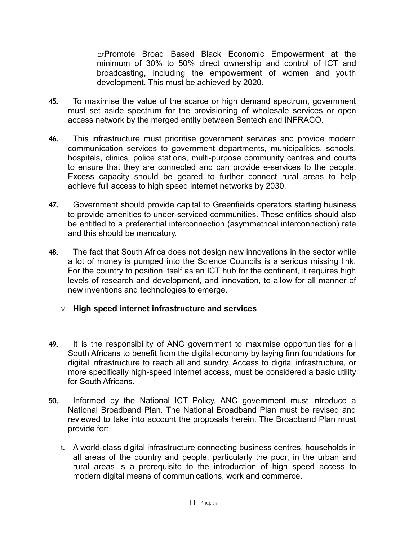iv.Promote Broad Based Black Economic Empowerment at the minimum of 30% to 50% direct ownership and control of ICT and broadcasting, including the empowerment of women and youth development. This must be achieved by 2020.

- **45.** To maximise the value of the scarce or high demand spectrum, government must set aside spectrum for the provisioning of wholesale services or open access network by the merged entity between Sentech and INFRACO.
- **46.** This infrastructure must prioritise government services and provide modern communication services to government departments, municipalities, schools, hospitals, clinics, police stations, multi-purpose community centres and courts to ensure that they are connected and can provide e-services to the people. Excess capacity should be geared to further connect rural areas to help achieve full access to high speed internet networks by 2030.
- **47.** Government should provide capital to Greenfields operators starting business to provide amenities to under-serviced communities. These entities should also be entitled to a preferential interconnection (asymmetrical interconnection) rate and this should be mandatory.
- **48.** The fact that South Africa does not design new innovations in the sector while a lot of money is pumped into the Science Councils is a serious missing link. For the country to position itself as an ICT hub for the continent, it requires high levels of research and development, and innovation, to allow for all manner of new inventions and technologies to emerge.
	- V. **High speed internet infrastructure and services**
- **49.** It is the responsibility of ANC government to maximise opportunities for all South Africans to benefit from the digital economy by laying firm foundations for digital infrastructure to reach all and sundry. Access to digital infrastructure, or more specifically high-speed internet access, must be considered a basic utility for South Africans.
- **50.** Informed by the National ICT Policy, ANC government must introduce a National Broadband Plan. The National Broadband Plan must be revised and reviewed to take into account the proposals herein. The Broadband Plan must provide for:
	- **i.** A world-class digital infrastructure connecting business centres, households in all areas of the country and people, particularly the poor, in the urban and rural areas is a prerequisite to the introduction of high speed access to modern digital means of communications, work and commerce.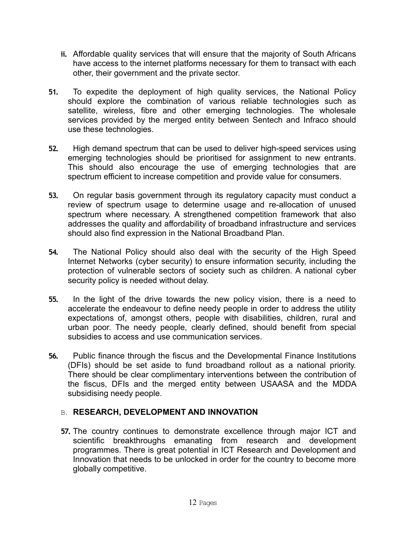- **ii.** Affordable quality services that will ensure that the majority of South Africans have access to the internet platforms necessary for them to transact with each other, their government and the private sector.
- **51.** To expedite the deployment of high quality services, the National Policy should explore the combination of various reliable technologies such as satellite, wireless, fibre and other emerging technologies. The wholesale services provided by the merged entity between Sentech and Infraco should use these technologies.
- **52.** High demand spectrum that can be used to deliver high-speed services using emerging technologies should be prioritised for assignment to new entrants. This should also encourage the use of emerging technologies that are spectrum efficient to increase competition and provide value for consumers.
- **53.** On regular basis government through its regulatory capacity must conduct a review of spectrum usage to determine usage and re-allocation of unused spectrum where necessary. A strengthened competition framework that also addresses the quality and affordability of broadband infrastructure and services should also find expression in the National Broadband Plan.
- **54.** The National Policy should also deal with the security of the High Speed Internet Networks (cyber security) to ensure information security, including the protection of vulnerable sectors of society such as children. A national cyber security policy is needed without delay.
- **55.** In the light of the drive towards the new policy vision, there is a need to accelerate the endeavour to define needy people in order to address the utility expectations of, amongst others, people with disabilities, children, rural and urban poor. The needy people, clearly defined, should benefit from special subsidies to access and use communication services.
- **56.** Public finance through the fiscus and the Developmental Finance Institutions (DFIs) should be set aside to fund broadband rollout as a national priority. There should be clear complimentary interventions between the contribution of the fiscus, DFIs and the merged entity between USAASA and the MDDA subsidising needy people.

# B. **RESEARCH, DEVELOPMENT AND INNOVATION**

**57.** The country continues to demonstrate excellence through major ICT and scientific breakthroughs emanating from research and development programmes. There is great potential in ICT Research and Development and Innovation that needs to be unlocked in order for the country to become more globally competitive.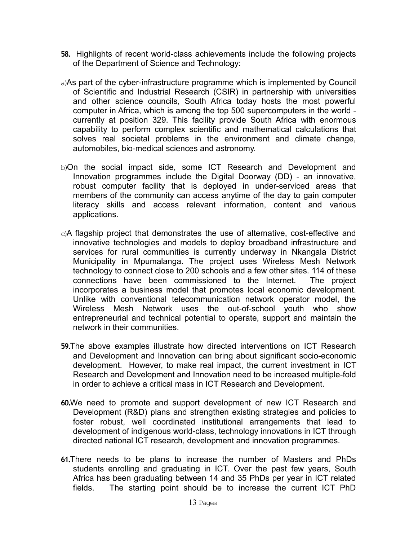- **58.** Highlights of recent world-class achievements include the following projects of the Department of Science and Technology:
- a)As part of the cyber-infrastructure programme which is implemented by Council of Scientific and Industrial Research (CSIR) in partnership with universities and other science councils, South Africa today hosts the most powerful computer in Africa, which is among the top 500 supercomputers in the world currently at position 329. This facility provide South Africa with enormous capability to perform complex scientific and mathematical calculations that solves real societal problems in the environment and climate change, automobiles, bio-medical sciences and astronomy.
- b)On the social impact side, some ICT Research and Development and Innovation programmes include the Digital Doorway (DD) - an innovative, robust computer facility that is deployed in under-serviced areas that members of the community can access anytime of the day to gain computer literacy skills and access relevant information, content and various applications.
- c)A flagship project that demonstrates the use of alternative, cost-effective and innovative technologies and models to deploy broadband infrastructure and services for rural communities is currently underway in Nkangala District Municipality in Mpumalanga. The project uses Wireless Mesh Network technology to connect close to 200 schools and a few other sites. 114 of these connections have been commissioned to the Internet. The project incorporates a business model that promotes local economic development. Unlike with conventional telecommunication network operator model, the Wireless Mesh Network uses the out-of-school youth who show entrepreneurial and technical potential to operate, support and maintain the network in their communities.
- **59.**The above examples illustrate how directed interventions on ICT Research and Development and Innovation can bring about significant socio-economic development. However, to make real impact, the current investment in ICT Research and Development and Innovation need to be increased multiple-fold in order to achieve a critical mass in ICT Research and Development.
- **60.**We need to promote and support development of new ICT Research and Development (R&D) plans and strengthen existing strategies and policies to foster robust, well coordinated institutional arrangements that lead to development of indigenous world-class, technology innovations in ICT through directed national ICT research, development and innovation programmes.
- **61.**There needs to be plans to increase the number of Masters and PhDs students enrolling and graduating in ICT. Over the past few years, South Africa has been graduating between 14 and 35 PhDs per year in ICT related fields. The starting point should be to increase the current ICT PhD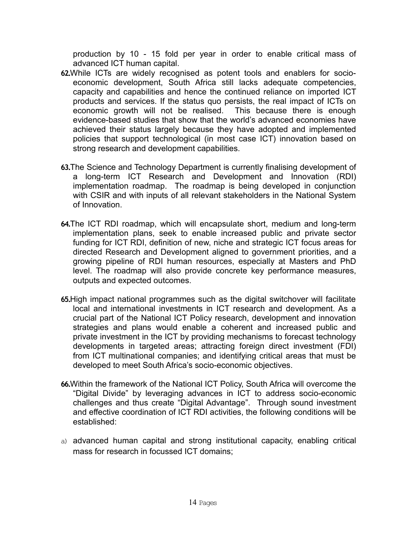production by 10 - 15 fold per year in order to enable critical mass of advanced ICT human capital.

- **62.**While ICTs are widely recognised as potent tools and enablers for socioeconomic development, South Africa still lacks adequate competencies, capacity and capabilities and hence the continued reliance on imported ICT products and services. If the status quo persists, the real impact of ICTs on economic growth will not be realised. This because there is enough evidence-based studies that show that the world's advanced economies have achieved their status largely because they have adopted and implemented policies that support technological (in most case ICT) innovation based on strong research and development capabilities.
- **63.**The Science and Technology Department is currently finalising development of a long-term ICT Research and Development and Innovation (RDI) implementation roadmap. The roadmap is being developed in conjunction with CSIR and with inputs of all relevant stakeholders in the National System of Innovation.
- **64.**The ICT RDI roadmap, which will encapsulate short, medium and long-term implementation plans, seek to enable increased public and private sector funding for ICT RDI, definition of new, niche and strategic ICT focus areas for directed Research and Development aligned to government priorities, and a growing pipeline of RDI human resources, especially at Masters and PhD level. The roadmap will also provide concrete key performance measures, outputs and expected outcomes.
- **65.**High impact national programmes such as the digital switchover will facilitate local and international investments in ICT research and development. As a crucial part of the National ICT Policy research, development and innovation strategies and plans would enable a coherent and increased public and private investment in the ICT by providing mechanisms to forecast technology developments in targeted areas; attracting foreign direct investment (FDI) from ICT multinational companies; and identifying critical areas that must be developed to meet South Africa's socio-economic objectives.
- **66.**Within the framework of the National ICT Policy, South Africa will overcome the "Digital Divide" by leveraging advances in ICT to address socio-economic challenges and thus create "Digital Advantage". Through sound investment and effective coordination of ICT RDI activities, the following conditions will be established:
- a) advanced human capital and strong institutional capacity, enabling critical mass for research in focussed ICT domains;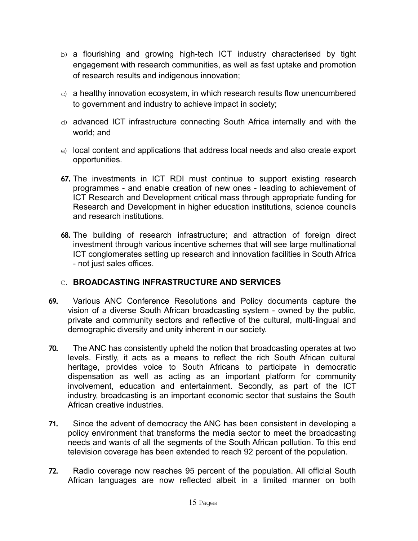- b) a flourishing and growing high-tech ICT industry characterised by tight engagement with research communities, as well as fast uptake and promotion of research results and indigenous innovation;
- $\epsilon$ ) a healthy innovation ecosystem, in which research results flow unencumbered to government and industry to achieve impact in society;
- d) advanced ICT infrastructure connecting South Africa internally and with the world; and
- e) local content and applications that address local needs and also create export opportunities.
- **67.** The investments in ICT RDI must continue to support existing research programmes - and enable creation of new ones - leading to achievement of ICT Research and Development critical mass through appropriate funding for Research and Development in higher education institutions, science councils and research institutions.
- **68.** The building of research infrastructure; and attraction of foreign direct investment through various incentive schemes that will see large multinational ICT conglomerates setting up research and innovation facilities in South Africa - not just sales offices.

## C. **BROADCASTING INFRASTRUCTURE AND SERVICES**

- **69.** Various ANC Conference Resolutions and Policy documents capture the vision of a diverse South African broadcasting system - owned by the public, private and community sectors and reflective of the cultural, multi-lingual and demographic diversity and unity inherent in our society.
- **70.** The ANC has consistently upheld the notion that broadcasting operates at two levels. Firstly, it acts as a means to reflect the rich South African cultural heritage, provides voice to South Africans to participate in democratic dispensation as well as acting as an important platform for community involvement, education and entertainment. Secondly, as part of the ICT industry, broadcasting is an important economic sector that sustains the South African creative industries.
- **71.** Since the advent of democracy the ANC has been consistent in developing a policy environment that transforms the media sector to meet the broadcasting needs and wants of all the segments of the South African pollution. To this end television coverage has been extended to reach 92 percent of the population.
- **72.** Radio coverage now reaches 95 percent of the population. All official South African languages are now reflected albeit in a limited manner on both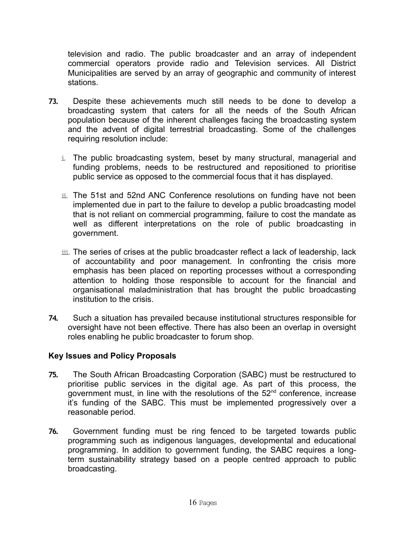television and radio. The public broadcaster and an array of independent commercial operators provide radio and Television services. All District Municipalities are served by an array of geographic and community of interest stations.

- **73.** Despite these achievements much still needs to be done to develop a broadcasting system that caters for all the needs of the South African population because of the inherent challenges facing the broadcasting system and the advent of digital terrestrial broadcasting. Some of the challenges requiring resolution include:
	- i. The public broadcasting system, beset by many structural, managerial and funding problems, needs to be restructured and repositioned to prioritise public service as opposed to the commercial focus that it has displayed.
	- ii. The 51st and 52nd ANC Conference resolutions on funding have not been implemented due in part to the failure to develop a public broadcasting model that is not reliant on commercial programming, failure to cost the mandate as well as different interpretations on the role of public broadcasting in government.
	- iii. The series of crises at the public broadcaster reflect a lack of leadership, lack of accountability and poor management. In confronting the crisis more emphasis has been placed on reporting processes without a corresponding attention to holding those responsible to account for the financial and organisational maladministration that has brought the public broadcasting institution to the crisis.
- **74.** Such a situation has prevailed because institutional structures responsible for oversight have not been effective. There has also been an overlap in oversight roles enabling he public broadcaster to forum shop.

## **Key Issues and Policy Proposals**

- **75.** The South African Broadcasting Corporation (SABC) must be restructured to prioritise public services in the digital age. As part of this process, the government must, in line with the resolutions of the  $52<sup>nd</sup>$  conference, increase it's funding of the SABC. This must be implemented progressively over a reasonable period.
- **76.** Government funding must be ring fenced to be targeted towards public programming such as indigenous languages, developmental and educational programming. In addition to government funding, the SABC requires a longterm sustainability strategy based on a people centred approach to public broadcasting.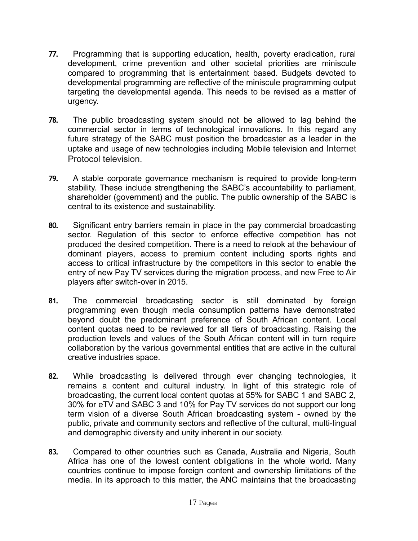- **77.** Programming that is supporting education, health, poverty eradication, rural development, crime prevention and other societal priorities are miniscule compared to programming that is entertainment based. Budgets devoted to developmental programming are reflective of the miniscule programming output targeting the developmental agenda. This needs to be revised as a matter of urgency.
- **78.** The public broadcasting system should not be allowed to lag behind the commercial sector in terms of technological innovations. In this regard any future strategy of the SABC must position the broadcaster as a leader in the uptake and usage of new technologies including Mobile television and Internet Protocol television.
- **79.** A stable corporate governance mechanism is required to provide long-term stability. These include strengthening the SABC's accountability to parliament, shareholder (government) and the public. The public ownership of the SABC is central to its existence and sustainability.
- **80.** Significant entry barriers remain in place in the pay commercial broadcasting sector. Regulation of this sector to enforce effective competition has not produced the desired competition. There is a need to relook at the behaviour of dominant players, access to premium content including sports rights and access to critical infrastructure by the competitors in this sector to enable the entry of new Pay TV services during the migration process, and new Free to Air players after switch-over in 2015.
- **81.** The commercial broadcasting sector is still dominated by foreign programming even though media consumption patterns have demonstrated beyond doubt the predominant preference of South African content. Local content quotas need to be reviewed for all tiers of broadcasting. Raising the production levels and values of the South African content will in turn require collaboration by the various governmental entities that are active in the cultural creative industries space.
- **82.** While broadcasting is delivered through ever changing technologies, it remains a content and cultural industry. In light of this strategic role of broadcasting, the current local content quotas at 55% for SABC 1 and SABC 2, 30% for eTV and SABC 3 and 10% for Pay TV services do not support our long term vision of a diverse South African broadcasting system - owned by the public, private and community sectors and reflective of the cultural, multi-lingual and demographic diversity and unity inherent in our society.
- **83.** Compared to other countries such as Canada, Australia and Nigeria, South Africa has one of the lowest content obligations in the whole world. Many countries continue to impose foreign content and ownership limitations of the media. In its approach to this matter, the ANC maintains that the broadcasting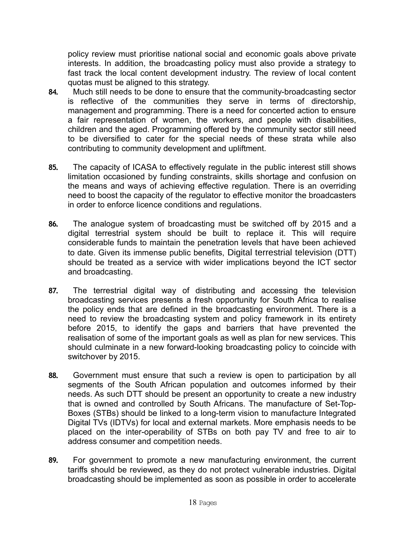policy review must prioritise national social and economic goals above private interests. In addition, the broadcasting policy must also provide a strategy to fast track the local content development industry. The review of local content quotas must be aligned to this strategy.

- **84.** Much still needs to be done to ensure that the community-broadcasting sector is reflective of the communities they serve in terms of directorship, management and programming. There is a need for concerted action to ensure a fair representation of women, the workers, and people with disabilities, children and the aged. Programming offered by the community sector still need to be diversified to cater for the special needs of these strata while also contributing to community development and upliftment.
- **85.** The capacity of ICASA to effectively regulate in the public interest still shows limitation occasioned by funding constraints, skills shortage and confusion on the means and ways of achieving effective regulation. There is an overriding need to boost the capacity of the regulator to effective monitor the broadcasters in order to enforce licence conditions and regulations.
- **86.** The analogue system of broadcasting must be switched off by 2015 and a digital terrestrial system should be built to replace it. This will require considerable funds to maintain the penetration levels that have been achieved to date. Given its immense public benefits, Digital terrestrial television (DTT) should be treated as a service with wider implications beyond the ICT sector and broadcasting.
- **87.** The terrestrial digital way of distributing and accessing the television broadcasting services presents a fresh opportunity for South Africa to realise the policy ends that are defined in the broadcasting environment. There is a need to review the broadcasting system and policy framework in its entirety before 2015, to identify the gaps and barriers that have prevented the realisation of some of the important goals as well as plan for new services. This should culminate in a new forward-looking broadcasting policy to coincide with switchover by 2015.
- **88.** Government must ensure that such a review is open to participation by all segments of the South African population and outcomes informed by their needs. As such DTT should be present an opportunity to create a new industry that is owned and controlled by South Africans. The manufacture of Set-Top-Boxes (STBs) should be linked to a long-term vision to manufacture Integrated Digital TVs (IDTVs) for local and external markets. More emphasis needs to be placed on the inter-operability of STBs on both pay TV and free to air to address consumer and competition needs.
- **89.** For government to promote a new manufacturing environment, the current tariffs should be reviewed, as they do not protect vulnerable industries. Digital broadcasting should be implemented as soon as possible in order to accelerate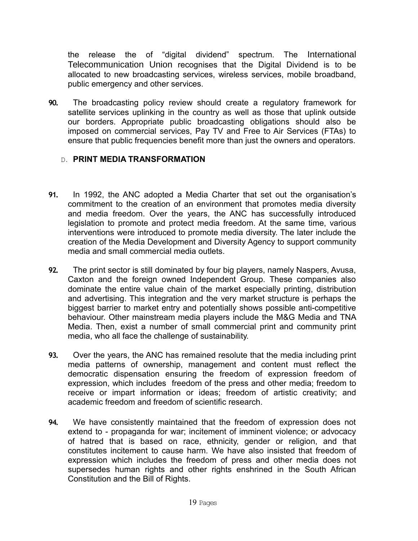the release the of "digital dividend" spectrum. The International Telecommunication Union recognises that the Digital Dividend is to be allocated to new broadcasting services, wireless services, mobile broadband, public emergency and other services.

**90.** The broadcasting policy review should create a regulatory framework for satellite services uplinking in the country as well as those that uplink outside our borders. Appropriate public broadcasting obligations should also be imposed on commercial services, Pay TV and Free to Air Services (FTAs) to ensure that public frequencies benefit more than just the owners and operators.

## D. **PRINT MEDIA TRANSFORMATION**

- **91.** In 1992, the ANC adopted a Media Charter that set out the organisation's commitment to the creation of an environment that promotes media diversity and media freedom. Over the years, the ANC has successfully introduced legislation to promote and protect media freedom. At the same time, various interventions were introduced to promote media diversity. The later include the creation of the Media Development and Diversity Agency to support community media and small commercial media outlets.
- **92.** The print sector is still dominated by four big players, namely Naspers, Avusa, Caxton and the foreign owned Independent Group. These companies also dominate the entire value chain of the market especially printing, distribution and advertising. This integration and the very market structure is perhaps the biggest barrier to market entry and potentially shows possible anti-competitive behaviour. Other mainstream media players include the M&G Media and TNA Media. Then, exist a number of small commercial print and community print media, who all face the challenge of sustainability.
- **93.** Over the years, the ANC has remained resolute that the media including print media patterns of ownership, management and content must reflect the democratic dispensation ensuring the freedom of expression freedom of expression, which includes freedom of the press and other media; freedom to receive or impart information or ideas; freedom of artistic creativity; and academic freedom and freedom of scientific research.
- **94.** We have consistently maintained that the freedom of expression does not extend to - propaganda for war; incitement of imminent violence; or advocacy of hatred that is based on race, ethnicity, gender or religion, and that constitutes incitement to cause harm. We have also insisted that freedom of expression which includes the freedom of press and other media does not supersedes human rights and other rights enshrined in the South African Constitution and the Bill of Rights.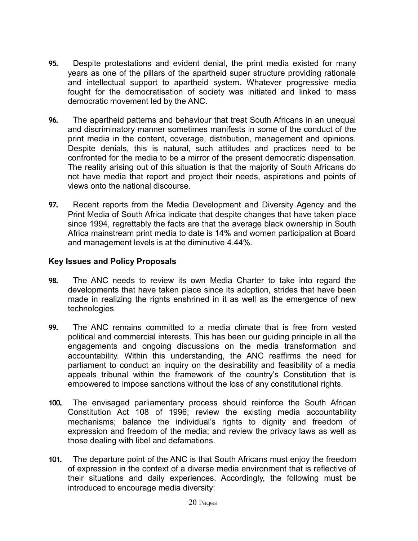- **95.** Despite protestations and evident denial, the print media existed for many years as one of the pillars of the apartheid super structure providing rationale and intellectual support to apartheid system. Whatever progressive media fought for the democratisation of society was initiated and linked to mass democratic movement led by the ANC.
- **96.** The apartheid patterns and behaviour that treat South Africans in an unequal and discriminatory manner sometimes manifests in some of the conduct of the print media in the content, coverage, distribution, management and opinions. Despite denials, this is natural, such attitudes and practices need to be confronted for the media to be a mirror of the present democratic dispensation. The reality arising out of this situation is that the majority of South Africans do not have media that report and project their needs, aspirations and points of views onto the national discourse.
- **97.** Recent reports from the Media Development and Diversity Agency and the Print Media of South Africa indicate that despite changes that have taken place since 1994, regrettably the facts are that the average black ownership in South Africa mainstream print media to date is 14% and women participation at Board and management levels is at the diminutive 4.44%.

## **Key Issues and Policy Proposals**

- **98.** The ANC needs to review its own Media Charter to take into regard the developments that have taken place since its adoption, strides that have been made in realizing the rights enshrined in it as well as the emergence of new technologies.
- **99.** The ANC remains committed to a media climate that is free from vested political and commercial interests. This has been our guiding principle in all the engagements and ongoing discussions on the media transformation and accountability. Within this understanding, the ANC reaffirms the need for parliament to conduct an inquiry on the desirability and feasibility of a media appeals tribunal within the framework of the country's Constitution that is empowered to impose sanctions without the loss of any constitutional rights.
- **100.** The envisaged parliamentary process should reinforce the South African Constitution Act 108 of 1996; review the existing media accountability mechanisms; balance the individual's rights to dignity and freedom of expression and freedom of the media; and review the privacy laws as well as those dealing with libel and defamations.
- **101.** The departure point of the ANC is that South Africans must enjoy the freedom of expression in the context of a diverse media environment that is reflective of their situations and daily experiences. Accordingly, the following must be introduced to encourage media diversity: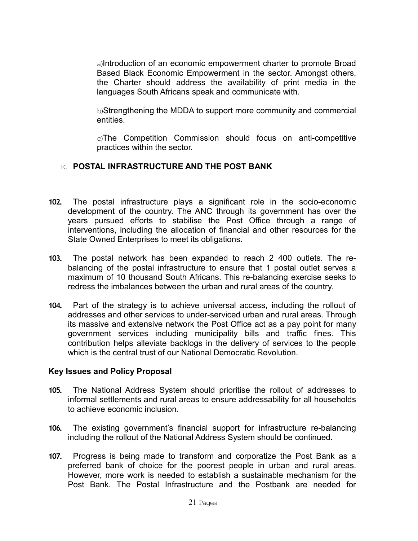a)Introduction of an economic empowerment charter to promote Broad Based Black Economic Empowerment in the sector. Amongst others, the Charter should address the availability of print media in the languages South Africans speak and communicate with.

b)Strengthening the MDDA to support more community and commercial entities.

c)The Competition Commission should focus on anti-competitive practices within the sector.

## E. **POSTAL INFRASTRUCTURE AND THE POST BANK**

- **102.** The postal infrastructure plays a significant role in the socio-economic development of the country. The ANC through its government has over the years pursued efforts to stabilise the Post Office through a range of interventions, including the allocation of financial and other resources for the State Owned Enterprises to meet its obligations.
- **103.** The postal network has been expanded to reach 2 400 outlets. The rebalancing of the postal infrastructure to ensure that 1 postal outlet serves a maximum of 10 thousand South Africans. This re-balancing exercise seeks to redress the imbalances between the urban and rural areas of the country.
- **104.** Part of the strategy is to achieve universal access, including the rollout of addresses and other services to under-serviced urban and rural areas. Through its massive and extensive network the Post Office act as a pay point for many government services including municipality bills and traffic fines. This contribution helps alleviate backlogs in the delivery of services to the people which is the central trust of our National Democratic Revolution.

## **Key Issues and Policy Proposal**

- **105.** The National Address System should prioritise the rollout of addresses to informal settlements and rural areas to ensure addressability for all households to achieve economic inclusion.
- **106.** The existing government's financial support for infrastructure re-balancing including the rollout of the National Address System should be continued.
- **107.** Progress is being made to transform and corporatize the Post Bank as a preferred bank of choice for the poorest people in urban and rural areas. However, more work is needed to establish a sustainable mechanism for the Post Bank. The Postal Infrastructure and the Postbank are needed for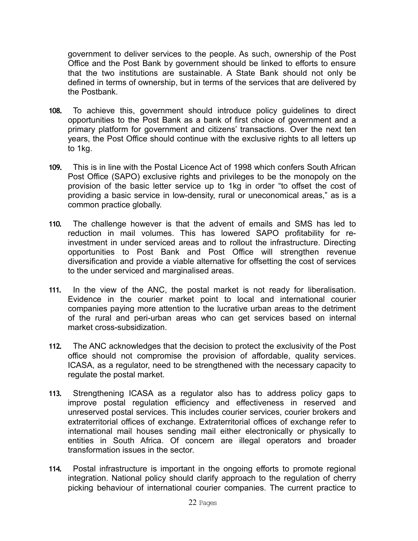government to deliver services to the people. As such, ownership of the Post Office and the Post Bank by government should be linked to efforts to ensure that the two institutions are sustainable. A State Bank should not only be defined in terms of ownership, but in terms of the services that are delivered by the Postbank.

- **108.** To achieve this, government should introduce policy guidelines to direct opportunities to the Post Bank as a bank of first choice of government and a primary platform for government and citizens' transactions. Over the next ten years, the Post Office should continue with the exclusive rights to all letters up to 1kg.
- **109.** This is in line with the Postal Licence Act of 1998 which confers South African Post Office (SAPO) exclusive rights and privileges to be the monopoly on the provision of the basic letter service up to 1kg in order "to offset the cost of providing a basic service in low-density, rural or uneconomical areas," as is a common practice globally.
- **110.** The challenge however is that the advent of emails and SMS has led to reduction in mail volumes. This has lowered SAPO profitability for reinvestment in under serviced areas and to rollout the infrastructure. Directing opportunities to Post Bank and Post Office will strengthen revenue diversification and provide a viable alternative for offsetting the cost of services to the under serviced and marginalised areas.
- **111.** In the view of the ANC, the postal market is not ready for liberalisation. Evidence in the courier market point to local and international courier companies paying more attention to the lucrative urban areas to the detriment of the rural and peri-urban areas who can get services based on internal market cross-subsidization.
- **112.** The ANC acknowledges that the decision to protect the exclusivity of the Post office should not compromise the provision of affordable, quality services. ICASA, as a regulator, need to be strengthened with the necessary capacity to regulate the postal market.
- **113.** Strengthening ICASA as a regulator also has to address policy gaps to improve postal regulation efficiency and effectiveness in reserved and unreserved postal services. This includes courier services, courier brokers and extraterritorial offices of exchange. Extraterritorial offices of exchange refer to international mail houses sending mail either electronically or physically to entities in South Africa. Of concern are illegal operators and broader transformation issues in the sector.
- **114.** Postal infrastructure is important in the ongoing efforts to promote regional integration. National policy should clarify approach to the regulation of cherry picking behaviour of international courier companies. The current practice to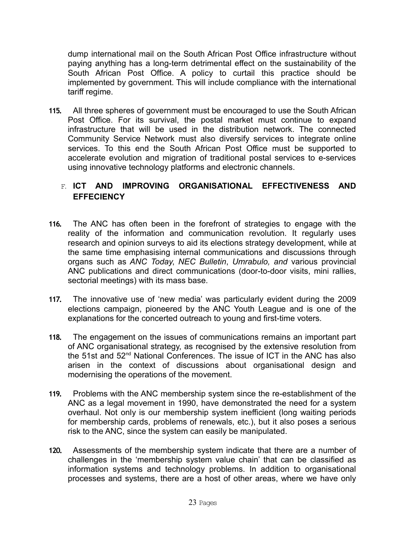dump international mail on the South African Post Office infrastructure without paying anything has a long-term detrimental effect on the sustainability of the South African Post Office. A policy to curtail this practice should be implemented by government. This will include compliance with the international tariff regime.

**115.** All three spheres of government must be encouraged to use the South African Post Office. For its survival, the postal market must continue to expand infrastructure that will be used in the distribution network. The connected Community Service Network must also diversify services to integrate online services. To this end the South African Post Office must be supported to accelerate evolution and migration of traditional postal services to e-services using innovative technology platforms and electronic channels.

# F. **ICT AND IMPROVING ORGANISATIONAL EFFECTIVENESS AND EFFECIENCY**

- **116.** The ANC has often been in the forefront of strategies to engage with the reality of the information and communication revolution. It regularly uses research and opinion surveys to aid its elections strategy development, while at the same time emphasising internal communications and discussions through organs such as *ANC Today*, *NEC Bulletin*, *Umrabulo, and* various provincial ANC publications and direct communications (door-to-door visits, mini rallies, sectorial meetings) with its mass base.
- **117.** The innovative use of 'new media' was particularly evident during the 2009 elections campaign, pioneered by the ANC Youth League and is one of the explanations for the concerted outreach to young and first-time voters.
- **118.** The engagement on the issues of communications remains an important part of ANC organisational strategy, as recognised by the extensive resolution from the 51st and 52nd National Conferences. The issue of ICT in the ANC has also arisen in the context of discussions about organisational design and modernising the operations of the movement.
- **119.** Problems with the ANC membership system since the re-establishment of the ANC as a legal movement in 1990, have demonstrated the need for a system overhaul. Not only is our membership system inefficient (long waiting periods for membership cards, problems of renewals, etc.), but it also poses a serious risk to the ANC, since the system can easily be manipulated.
- **120.** Assessments of the membership system indicate that there are a number of challenges in the 'membership system value chain' that can be classified as information systems and technology problems. In addition to organisational processes and systems, there are a host of other areas, where we have only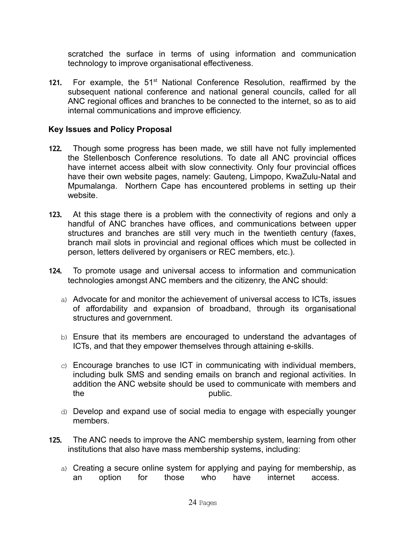scratched the surface in terms of using information and communication technology to improve organisational effectiveness.

**121.** For example, the 51<sup>st</sup> National Conference Resolution, reaffirmed by the subsequent national conference and national general councils, called for all ANC regional offices and branches to be connected to the internet, so as to aid internal communications and improve efficiency.

## **Key Issues and Policy Proposal**

- **122.** Though some progress has been made, we still have not fully implemented the Stellenbosch Conference resolutions. To date all ANC provincial offices have internet access albeit with slow connectivity. Only four provincial offices have their own website pages, namely: Gauteng, Limpopo, KwaZulu-Natal and Mpumalanga. Northern Cape has encountered problems in setting up their website.
- **123.** At this stage there is a problem with the connectivity of regions and only a handful of ANC branches have offices, and communications between upper structures and branches are still very much in the twentieth century (faxes, branch mail slots in provincial and regional offices which must be collected in person, letters delivered by organisers or REC members, etc.).
- **124.** To promote usage and universal access to information and communication technologies amongst ANC members and the citizenry, the ANC should:
	- a) Advocate for and monitor the achievement of universal access to ICTs, issues of affordability and expansion of broadband, through its organisational structures and government.
	- b) Ensure that its members are encouraged to understand the advantages of ICTs, and that they empower themselves through attaining e-skills.
	- c) Encourage branches to use ICT in communicating with individual members, including bulk SMS and sending emails on branch and regional activities. In addition the ANC website should be used to communicate with members and the public.
	- d) Develop and expand use of social media to engage with especially younger members.
- **125.** The ANC needs to improve the ANC membership system, learning from other institutions that also have mass membership systems, including:
	- a) Creating a secure online system for applying and paying for membership, as an option for those who have internet access.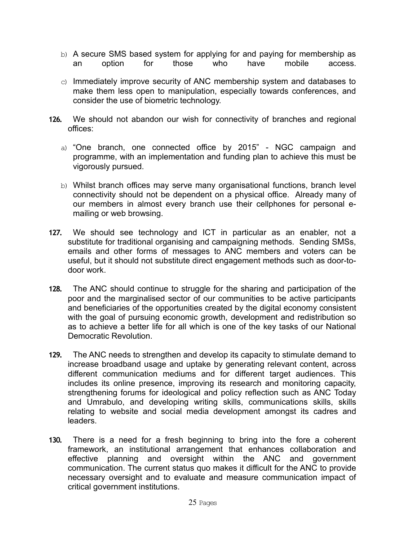- b) A secure SMS based system for applying for and paying for membership as an option for those who have mobile access.
- $\circ$ ) Immediately improve security of ANC membership system and databases to make them less open to manipulation, especially towards conferences, and consider the use of biometric technology.
- **126.** We should not abandon our wish for connectivity of branches and regional offices:
	- a) "One branch, one connected office by 2015" NGC campaign and programme, with an implementation and funding plan to achieve this must be vigorously pursued.
	- b) Whilst branch offices may serve many organisational functions, branch level connectivity should not be dependent on a physical office. Already many of our members in almost every branch use their cellphones for personal emailing or web browsing.
- **127.** We should see technology and ICT in particular as an enabler, not a substitute for traditional organising and campaigning methods. Sending SMSs, emails and other forms of messages to ANC members and voters can be useful, but it should not substitute direct engagement methods such as door-todoor work.
- **128.** The ANC should continue to struggle for the sharing and participation of the poor and the marginalised sector of our communities to be active participants and beneficiaries of the opportunities created by the digital economy consistent with the goal of pursuing economic growth, development and redistribution so as to achieve a better life for all which is one of the key tasks of our National Democratic Revolution.
- **129.** The ANC needs to strengthen and develop its capacity to stimulate demand to increase broadband usage and uptake by generating relevant content, across different communication mediums and for different target audiences. This includes its online presence, improving its research and monitoring capacity, strengthening forums for ideological and policy reflection such as ANC Today and Umrabulo, and developing writing skills, communications skills, skills relating to website and social media development amongst its cadres and leaders.
- **130.** There is a need for a fresh beginning to bring into the fore a coherent framework, an institutional arrangement that enhances collaboration and effective planning and oversight within the ANC and government communication. The current status quo makes it difficult for the ANC to provide necessary oversight and to evaluate and measure communication impact of critical government institutions.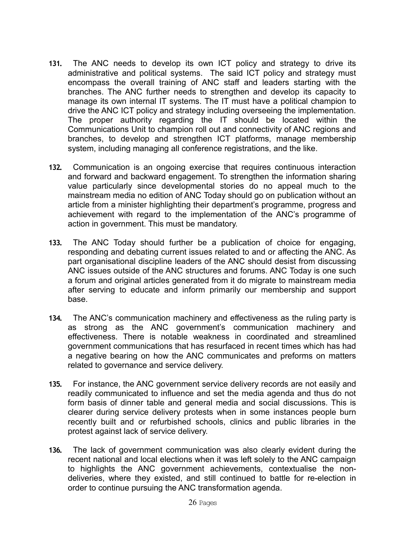- **131.** The ANC needs to develop its own ICT policy and strategy to drive its administrative and political systems. The said ICT policy and strategy must encompass the overall training of ANC staff and leaders starting with the branches. The ANC further needs to strengthen and develop its capacity to manage its own internal IT systems. The IT must have a political champion to drive the ANC ICT policy and strategy including overseeing the implementation. The proper authority regarding the IT should be located within the Communications Unit to champion roll out and connectivity of ANC regions and branches, to develop and strengthen ICT platforms, manage membership system, including managing all conference registrations, and the like.
- **132.** Communication is an ongoing exercise that requires continuous interaction and forward and backward engagement. To strengthen the information sharing value particularly since developmental stories do no appeal much to the mainstream media no edition of ANC Today should go on publication without an article from a minister highlighting their department's programme, progress and achievement with regard to the implementation of the ANC's programme of action in government. This must be mandatory.
- **133.** The ANC Today should further be a publication of choice for engaging, responding and debating current issues related to and or affecting the ANC. As part organisational discipline leaders of the ANC should desist from discussing ANC issues outside of the ANC structures and forums. ANC Today is one such a forum and original articles generated from it do migrate to mainstream media after serving to educate and inform primarily our membership and support base.
- **134.** The ANC's communication machinery and effectiveness as the ruling party is as strong as the ANC government's communication machinery and effectiveness. There is notable weakness in coordinated and streamlined government communications that has resurfaced in recent times which has had a negative bearing on how the ANC communicates and preforms on matters related to governance and service delivery.
- **135.** For instance, the ANC government service delivery records are not easily and readily communicated to influence and set the media agenda and thus do not form basis of dinner table and general media and social discussions. This is clearer during service delivery protests when in some instances people burn recently built and or refurbished schools, clinics and public libraries in the protest against lack of service delivery.
- **136.** The lack of government communication was also clearly evident during the recent national and local elections when it was left solely to the ANC campaign to highlights the ANC government achievements, contextualise the nondeliveries, where they existed, and still continued to battle for re-election in order to continue pursuing the ANC transformation agenda.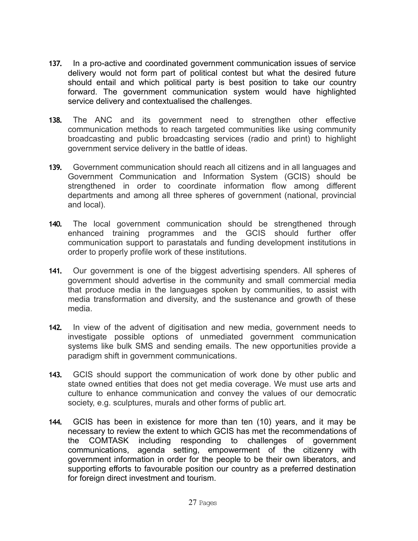- **137.** In a pro-active and coordinated government communication issues of service delivery would not form part of political contest but what the desired future should entail and which political party is best position to take our country forward. The government communication system would have highlighted service delivery and contextualised the challenges.
- **138.** The ANC and its government need to strengthen other effective communication methods to reach targeted communities like using community broadcasting and public broadcasting services (radio and print) to highlight government service delivery in the battle of ideas.
- **139.** Government communication should reach all citizens and in all languages and Government Communication and Information System (GCIS) should be strengthened in order to coordinate information flow among different departments and among all three spheres of government (national, provincial and local).
- **140.** The local government communication should be strengthened through enhanced training programmes and the GCIS should further offer communication support to parastatals and funding development institutions in order to properly profile work of these institutions.
- **141.** Our government is one of the biggest advertising spenders. All spheres of government should advertise in the community and small commercial media that produce media in the languages spoken by communities, to assist with media transformation and diversity, and the sustenance and growth of these media.
- **142.** In view of the advent of digitisation and new media, government needs to investigate possible options of unmediated government communication systems like bulk SMS and sending emails. The new opportunities provide a paradigm shift in government communications.
- **143.** GCIS should support the communication of work done by other public and state owned entities that does not get media coverage. We must use arts and culture to enhance communication and convey the values of our democratic society, e.g. sculptures, murals and other forms of public art.
- **144.** GCIS has been in existence for more than ten (10) years, and it may be necessary to review the extent to which GCIS has met the recommendations of the COMTASK including responding to challenges of government communications, agenda setting, empowerment of the citizenry with government information in order for the people to be their own liberators, and supporting efforts to favourable position our country as a preferred destination for foreign direct investment and tourism.